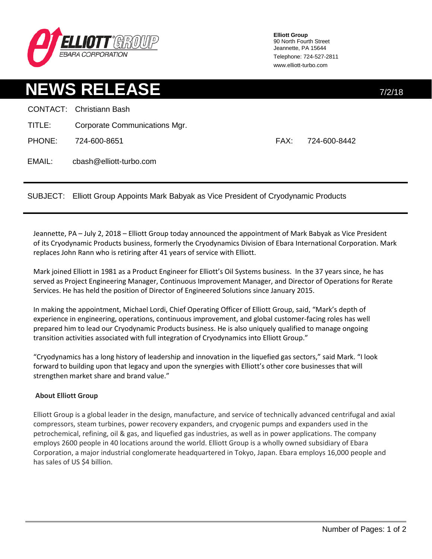

**Elliott Group** 90 North Fourth Street Jeannette, PA 15644 Telephone: 724-527-2811 www.elliott-turbo.com

## **NEWS RELEASE** 7/2/18

|        | <b>CONTACT:</b> Christiann Bash |      |              |
|--------|---------------------------------|------|--------------|
| TITLE: | Corporate Communications Mgr.   |      |              |
| PHONE: | 724-600-8651                    | FAX: | 724-600-8442 |
| EMAIL: | cbash@elliott-turbo.com         |      |              |

SUBJECT: Elliott Group Appoints Mark Babyak as Vice President of Cryodynamic Products

Jeannette, PA – July 2, 2018 – Elliott Group today announced the appointment of Mark Babyak as Vice President of its Cryodynamic Products business, formerly the Cryodynamics Division of Ebara International Corporation. Mark replaces John Rann who is retiring after 41 years of service with Elliott.

Mark joined Elliott in 1981 as a Product Engineer for Elliott's Oil Systems business. In the 37 years since, he has served as Project Engineering Manager, Continuous Improvement Manager, and Director of Operations for Rerate Services. He has held the position of Director of Engineered Solutions since January 2015.

In making the appointment, Michael Lordi, Chief Operating Officer of Elliott Group, said, "Mark's depth of experience in engineering, operations, continuous improvement, and global customer-facing roles has well prepared him to lead our Cryodynamic Products business. He is also uniquely qualified to manage ongoing transition activities associated with full integration of Cryodynamics into Elliott Group."

"Cryodynamics has a long history of leadership and innovation in the liquefied gas sectors," said Mark. "I look forward to building upon that legacy and upon the synergies with Elliott's other core businesses that will strengthen market share and brand value."

## **About Elliott Group**

Elliott Group is a global leader in the design, manufacture, and service of technically advanced centrifugal and axial compressors, steam turbines, power recovery expanders, and cryogenic pumps and expanders used in the petrochemical, refining, oil & gas, and liquefied gas industries, as well as in power applications. The company employs 2600 people in 40 locations around the world. Elliott Group is a wholly owned subsidiary of Ebara Corporation, a major industrial conglomerate headquartered in Tokyo, Japan. Ebara employs 16,000 people and has sales of US \$4 billion.